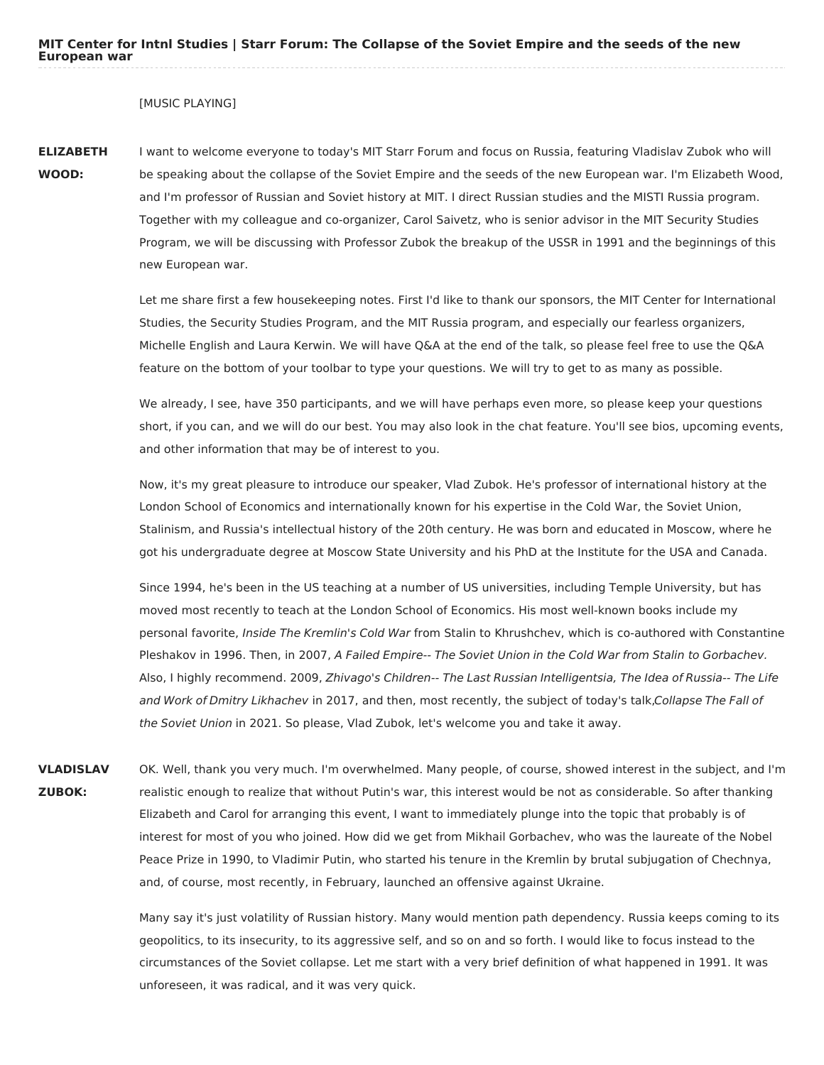## [MUSIC PLAYING]

**ELIZABETH WOOD:** I want to welcome everyone to today's MIT Starr Forum and focus on Russia, featuring Vladislav Zubok who will be speaking about the collapse of the Soviet Empire and the seeds of the new European war. I'm Elizabeth Wood, and I'm professor of Russian and Soviet history at MIT. I direct Russian studies and the MISTI Russia program. Together with my colleague and co-organizer, Carol Saivetz, who is senior advisor in the MIT Security Studies Program, we will be discussing with Professor Zubok the breakup of the USSR in 1991 and the beginnings of this new European war.

> Let me share first a few housekeeping notes. First I'd like to thank our sponsors, the MIT Center for International Studies, the Security Studies Program, and the MIT Russia program, and especially our fearless organizers, Michelle English and Laura Kerwin. We will have Q&A at the end of the talk, so please feel free to use the Q&A feature on the bottom of your toolbar to type your questions. We will try to get to as many as possible.

> We already, I see, have 350 participants, and we will have perhaps even more, so please keep your questions short, if you can, and we will do our best. You may also look in the chat feature. You'll see bios, upcoming events, and other information that may be of interest to you.

Now, it's my great pleasure to introduce our speaker, Vlad Zubok. He's professor of international history at the London School of Economics and internationally known for his expertise in the Cold War, the Soviet Union, Stalinism, and Russia's intellectual history of the 20th century. He was born and educated in Moscow, where he got his undergraduate degree at Moscow State University and his PhD at the Institute for the USA and Canada.

Since 1994, he's been in the US teaching at a number of US universities, including Temple University, but has moved most recently to teach at the London School of Economics. His most well-known books include my personal favorite, Inside The Kremlin's Cold War from Stalin to Khrushchev, which is co-authored with Constantine Pleshakov in 1996. Then, in 2007, A Failed Empire-- The Soviet Union in the Cold War from Stalin to Gorbachev. Also, I highly recommend. 2009, Zhivago's Children-- The Last Russian Intelligentsia, The Idea of Russia-- The Life and Work of Dmitry Likhachev in 2017, and then, most recently, the subject of today's talk,Collapse The Fall of the Soviet Union in 2021. So please, Vlad Zubok, let's welcome you and take it away.

**VLADISLAV ZUBOK:** OK. Well, thank you very much. I'm overwhelmed. Many people, of course, showed interest in the subject, and I'm realistic enough to realize that without Putin's war, this interest would be not as considerable. So after thanking Elizabeth and Carol for arranging this event, I want to immediately plunge into the topic that probably is of interest for most of you who joined. How did we get from Mikhail Gorbachev, who was the laureate of the Nobel Peace Prize in 1990, to Vladimir Putin, who started his tenure in the Kremlin by brutal subjugation of Chechnya, and, of course, most recently, in February, launched an offensive against Ukraine.

> Many say it's just volatility of Russian history. Many would mention path dependency. Russia keeps coming to its geopolitics, to its insecurity, to its aggressive self, and so on and so forth. I would like to focus instead to the circumstances of the Soviet collapse. Let me start with a very brief definition of what happened in 1991. It was unforeseen, it was radical, and it was very quick.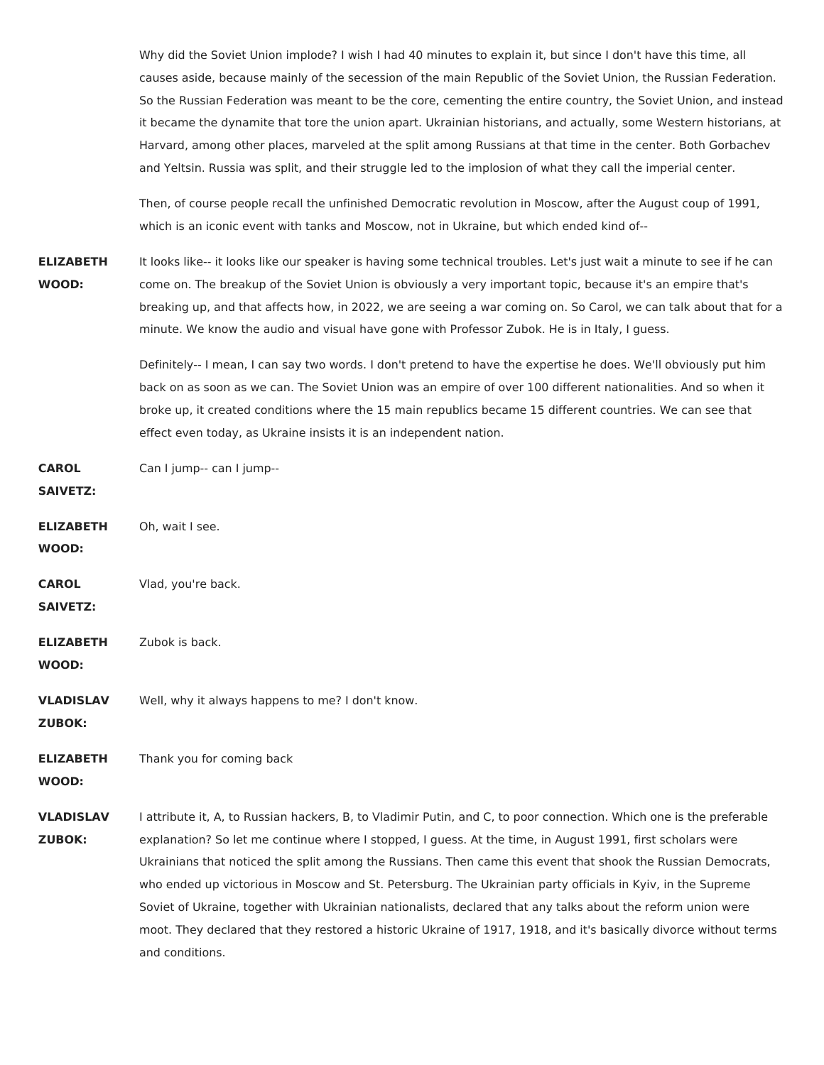Why did the Soviet Union implode? I wish I had 40 minutes to explain it, but since I don't have this time, all causes aside, because mainly of the secession of the main Republic of the Soviet Union, the Russian Federation. So the Russian Federation was meant to be the core, cementing the entire country, the Soviet Union, and instead it became the dynamite that tore the union apart. Ukrainian historians, and actually, some Western historians, at Harvard, among other places, marveled at the split among Russians at that time in the center. Both Gorbachev and Yeltsin. Russia was split, and their struggle led to the implosion of what they call the imperial center.

Then, of course people recall the unfinished Democratic revolution in Moscow, after the August coup of 1991, which is an iconic event with tanks and Moscow, not in Ukraine, but which ended kind of--

**ELIZABETH WOOD:** It looks like-- it looks like our speaker is having some technical troubles. Let's just wait a minute to see if he can come on. The breakup of the Soviet Union is obviously a very important topic, because it's an empire that's breaking up, and that affects how, in 2022, we are seeing a war coming on. So Carol, we can talk about that for a minute. We know the audio and visual have gone with Professor Zubok. He is in Italy, I guess.

> Definitely-- I mean, I can say two words. I don't pretend to have the expertise he does. We'll obviously put him back on as soon as we can. The Soviet Union was an empire of over 100 different nationalities. And so when it broke up, it created conditions where the 15 main republics became 15 different countries. We can see that effect even today, as Ukraine insists it is an independent nation.

**CAROL** Can I jump-- can I jump--

## **SAIVETZ:**

**ELIZABETH** Oh, wait I see.

**WOOD:**

**CAROL** Vlad, you're back.

**SAIVETZ:**

**ELIZABETH** Zubok is back.

**WOOD:**

**VLADISLAV** Well, why it always happens to me? I don't know.

**ZUBOK:**

**ELIZABETH** Thank you for coming back

**WOOD:**

**VLADISLAV ZUBOK:** I attribute it, A, to Russian hackers, B, to Vladimir Putin, and C, to poor connection. Which one is the preferable explanation? So let me continue where I stopped, I guess. At the time, in August 1991, first scholars were Ukrainians that noticed the split among the Russians. Then came this event that shook the Russian Democrats, who ended up victorious in Moscow and St. Petersburg. The Ukrainian party officials in Kyiv, in the Supreme Soviet of Ukraine, together with Ukrainian nationalists, declared that any talks about the reform union were moot. They declared that they restored a historic Ukraine of 1917, 1918, and it's basically divorce without terms and conditions.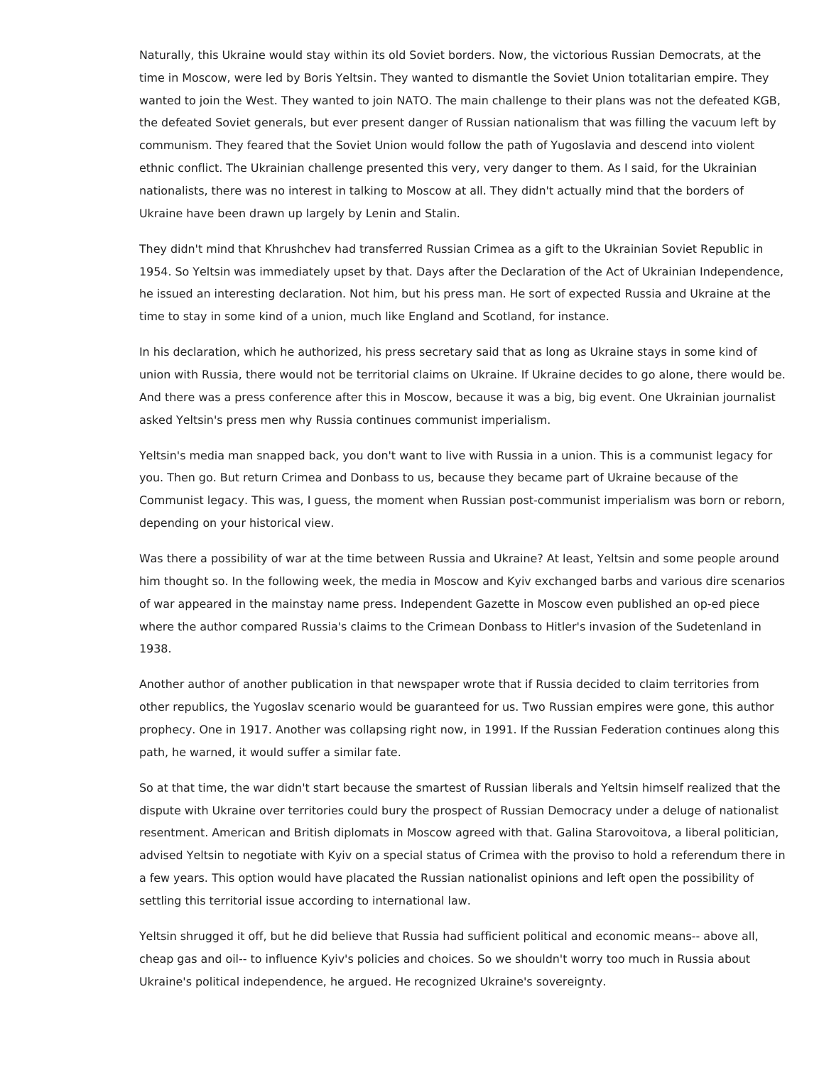Naturally, this Ukraine would stay within its old Soviet borders. Now, the victorious Russian Democrats, at the time in Moscow, were led by Boris Yeltsin. They wanted to dismantle the Soviet Union totalitarian empire. They wanted to join the West. They wanted to join NATO. The main challenge to their plans was not the defeated KGB, the defeated Soviet generals, but ever present danger of Russian nationalism that was filling the vacuum left by communism. They feared that the Soviet Union would follow the path of Yugoslavia and descend into violent ethnic conflict. The Ukrainian challenge presented this very, very danger to them. As I said, for the Ukrainian nationalists, there was no interest in talking to Moscow at all. They didn't actually mind that the borders of Ukraine have been drawn up largely by Lenin and Stalin.

They didn't mind that Khrushchev had transferred Russian Crimea as a gift to the Ukrainian Soviet Republic in 1954. So Yeltsin was immediately upset by that. Days after the Declaration of the Act of Ukrainian Independence, he issued an interesting declaration. Not him, but his press man. He sort of expected Russia and Ukraine at the time to stay in some kind of a union, much like England and Scotland, for instance.

In his declaration, which he authorized, his press secretary said that as long as Ukraine stays in some kind of union with Russia, there would not be territorial claims on Ukraine. If Ukraine decides to go alone, there would be. And there was a press conference after this in Moscow, because it was a big, big event. One Ukrainian journalist asked Yeltsin's press men why Russia continues communist imperialism.

Yeltsin's media man snapped back, you don't want to live with Russia in a union. This is a communist legacy for you. Then go. But return Crimea and Donbass to us, because they became part of Ukraine because of the Communist legacy. This was, I guess, the moment when Russian post-communist imperialism was born or reborn, depending on your historical view.

Was there a possibility of war at the time between Russia and Ukraine? At least, Yeltsin and some people around him thought so. In the following week, the media in Moscow and Kyiv exchanged barbs and various dire scenarios of war appeared in the mainstay name press. Independent Gazette in Moscow even published an op-ed piece where the author compared Russia's claims to the Crimean Donbass to Hitler's invasion of the Sudetenland in 1938.

Another author of another publication in that newspaper wrote that if Russia decided to claim territories from other republics, the Yugoslav scenario would be guaranteed for us. Two Russian empires were gone, this author prophecy. One in 1917. Another was collapsing right now, in 1991. If the Russian Federation continues along this path, he warned, it would suffer a similar fate.

So at that time, the war didn't start because the smartest of Russian liberals and Yeltsin himself realized that the dispute with Ukraine over territories could bury the prospect of Russian Democracy under a deluge of nationalist resentment. American and British diplomats in Moscow agreed with that. Galina Starovoitova, a liberal politician, advised Yeltsin to negotiate with Kyiv on a special status of Crimea with the proviso to hold a referendum there in a few years. This option would have placated the Russian nationalist opinions and left open the possibility of settling this territorial issue according to international law.

Yeltsin shrugged it off, but he did believe that Russia had sufficient political and economic means-- above all, cheap gas and oil-- to influence Kyiv's policies and choices. So we shouldn't worry too much in Russia about Ukraine's political independence, he argued. He recognized Ukraine's sovereignty.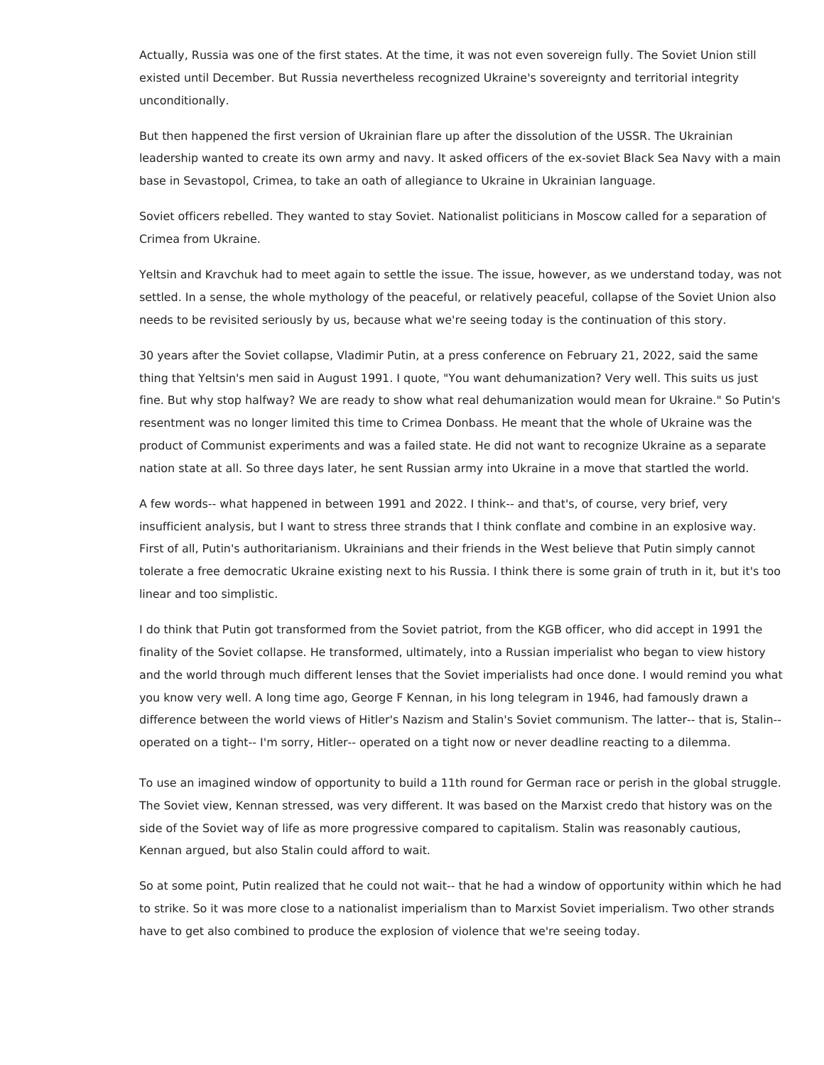Actually, Russia was one of the first states. At the time, it was not even sovereign fully. The Soviet Union still existed until December. But Russia nevertheless recognized Ukraine's sovereignty and territorial integrity unconditionally.

But then happened the first version of Ukrainian flare up after the dissolution of the USSR. The Ukrainian leadership wanted to create its own army and navy. It asked officers of the ex-soviet Black Sea Navy with a main base in Sevastopol, Crimea, to take an oath of allegiance to Ukraine in Ukrainian language.

Soviet officers rebelled. They wanted to stay Soviet. Nationalist politicians in Moscow called for a separation of Crimea from Ukraine.

Yeltsin and Kravchuk had to meet again to settle the issue. The issue, however, as we understand today, was not settled. In a sense, the whole mythology of the peaceful, or relatively peaceful, collapse of the Soviet Union also needs to be revisited seriously by us, because what we're seeing today is the continuation of this story.

30 years after the Soviet collapse, Vladimir Putin, at a press conference on February 21, 2022, said the same thing that Yeltsin's men said in August 1991. I quote, "You want dehumanization? Very well. This suits us just fine. But why stop halfway? We are ready to show what real dehumanization would mean for Ukraine." So Putin's resentment was no longer limited this time to Crimea Donbass. He meant that the whole of Ukraine was the product of Communist experiments and was a failed state. He did not want to recognize Ukraine as a separate nation state at all. So three days later, he sent Russian army into Ukraine in a move that startled the world.

A few words-- what happened in between 1991 and 2022. I think-- and that's, of course, very brief, very insufficient analysis, but I want to stress three strands that I think conflate and combine in an explosive way. First of all, Putin's authoritarianism. Ukrainians and their friends in the West believe that Putin simply cannot tolerate a free democratic Ukraine existing next to his Russia. I think there is some grain of truth in it, but it's too linear and too simplistic.

I do think that Putin got transformed from the Soviet patriot, from the KGB officer, who did accept in 1991 the finality of the Soviet collapse. He transformed, ultimately, into a Russian imperialist who began to view history and the world through much different lenses that the Soviet imperialists had once done. I would remind you what you know very well. A long time ago, George F Kennan, in his long telegram in 1946, had famously drawn a difference between the world views of Hitler's Nazism and Stalin's Soviet communism. The latter-- that is, Stalin- operated on a tight-- I'm sorry, Hitler-- operated on a tight now or never deadline reacting to a dilemma.

To use an imagined window of opportunity to build a 11th round for German race or perish in the global struggle. The Soviet view, Kennan stressed, was very different. It was based on the Marxist credo that history was on the side of the Soviet way of life as more progressive compared to capitalism. Stalin was reasonably cautious, Kennan argued, but also Stalin could afford to wait.

So at some point, Putin realized that he could not wait-- that he had a window of opportunity within which he had to strike. So it was more close to a nationalist imperialism than to Marxist Soviet imperialism. Two other strands have to get also combined to produce the explosion of violence that we're seeing today.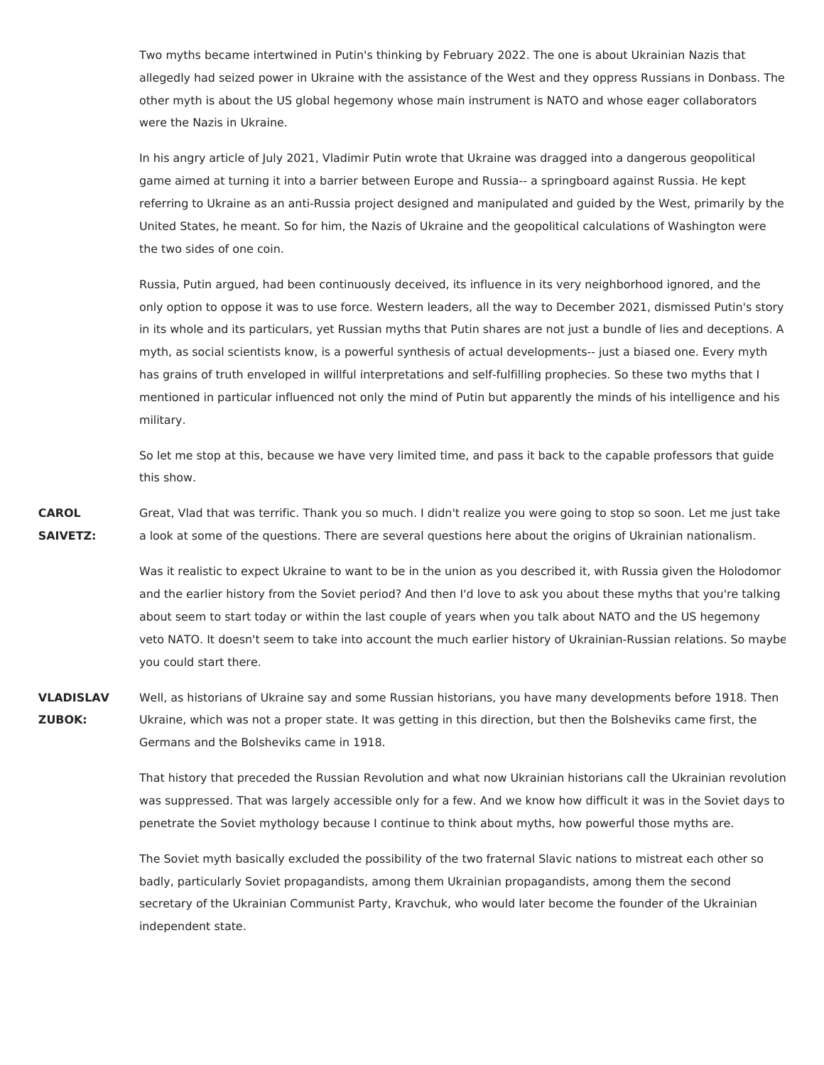Two myths became intertwined in Putin's thinking by February 2022. The one is about Ukrainian Nazis that allegedly had seized power in Ukraine with the assistance of the West and they oppress Russians in Donbass. The other myth is about the US global hegemony whose main instrument is NATO and whose eager collaborators were the Nazis in Ukraine.

In his angry article of July 2021, Vladimir Putin wrote that Ukraine was dragged into a dangerous geopolitical game aimed at turning it into a barrier between Europe and Russia-- a springboard against Russia. He kept referring to Ukraine as an anti-Russia project designed and manipulated and guided by the West, primarily by the United States, he meant. So for him, the Nazis of Ukraine and the geopolitical calculations of Washington were the two sides of one coin.

Russia, Putin argued, had been continuously deceived, its influence in its very neighborhood ignored, and the only option to oppose it was to use force. Western leaders, all the way to December 2021, dismissed Putin's story in its whole and its particulars, yet Russian myths that Putin shares are not just a bundle of lies and deceptions. A myth, as social scientists know, is a powerful synthesis of actual developments-- just a biased one. Every myth has grains of truth enveloped in willful interpretations and self-fulfilling prophecies. So these two myths that I mentioned in particular influenced not only the mind of Putin but apparently the minds of his intelligence and his military.

So let me stop at this, because we have very limited time, and pass it back to the capable professors that guide this show.

**CAROL SAIVETZ:** Great, Vlad that was terrific. Thank you so much. I didn't realize you were going to stop so soon. Let me just take a look at some of the questions. There are several questions here about the origins of Ukrainian nationalism.

> Was it realistic to expect Ukraine to want to be in the union as you described it, with Russia given the Holodomor and the earlier history from the Soviet period? And then I'd love to ask you about these myths that you're talking about seem to start today or within the last couple of years when you talk about NATO and the US hegemony veto NATO. It doesn't seem to take into account the much earlier history of Ukrainian-Russian relations. So maybe you could start there.

**VLADISLAV ZUBOK:** Well, as historians of Ukraine say and some Russian historians, you have many developments before 1918. Then Ukraine, which was not a proper state. It was getting in this direction, but then the Bolsheviks came first, the Germans and the Bolsheviks came in 1918.

> That history that preceded the Russian Revolution and what now Ukrainian historians call the Ukrainian revolution was suppressed. That was largely accessible only for a few. And we know how difficult it was in the Soviet days to penetrate the Soviet mythology because I continue to think about myths, how powerful those myths are.

The Soviet myth basically excluded the possibility of the two fraternal Slavic nations to mistreat each other so badly, particularly Soviet propagandists, among them Ukrainian propagandists, among them the second secretary of the Ukrainian Communist Party, Kravchuk, who would later become the founder of the Ukrainian independent state.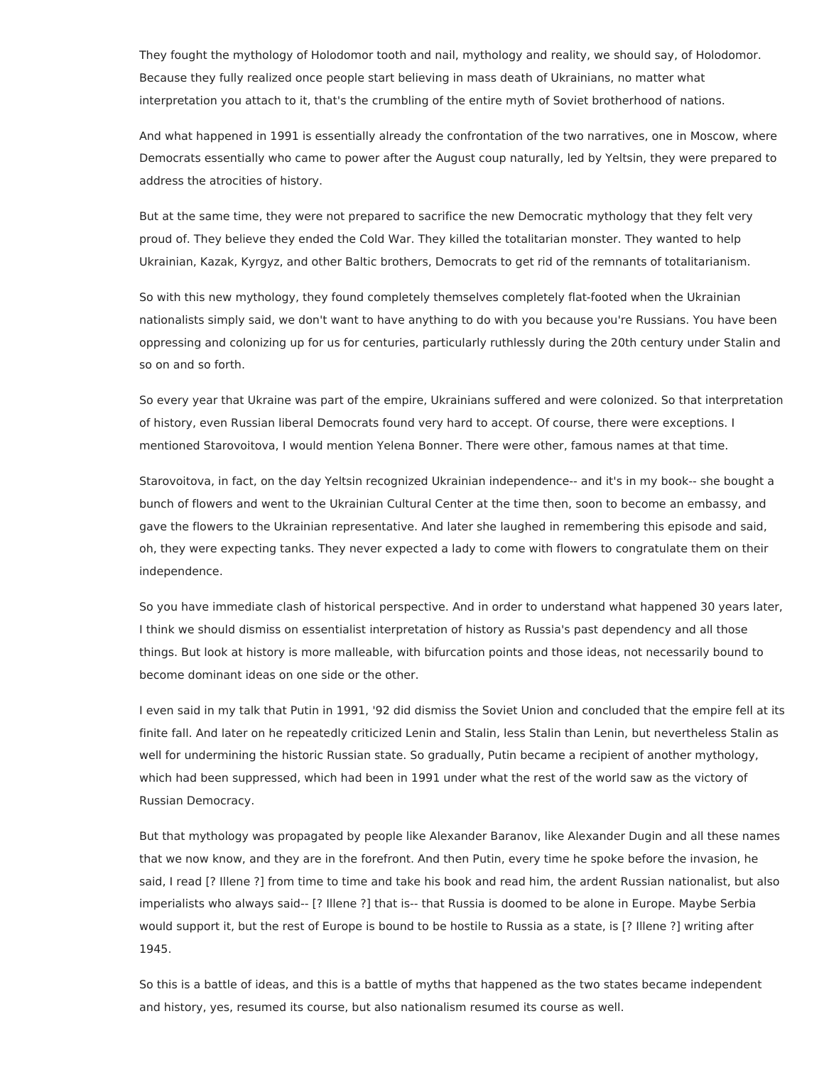They fought the mythology of Holodomor tooth and nail, mythology and reality, we should say, of Holodomor. Because they fully realized once people start believing in mass death of Ukrainians, no matter what interpretation you attach to it, that's the crumbling of the entire myth of Soviet brotherhood of nations.

And what happened in 1991 is essentially already the confrontation of the two narratives, one in Moscow, where Democrats essentially who came to power after the August coup naturally, led by Yeltsin, they were prepared to address the atrocities of history.

But at the same time, they were not prepared to sacrifice the new Democratic mythology that they felt very proud of. They believe they ended the Cold War. They killed the totalitarian monster. They wanted to help Ukrainian, Kazak, Kyrgyz, and other Baltic brothers, Democrats to get rid of the remnants of totalitarianism.

So with this new mythology, they found completely themselves completely flat-footed when the Ukrainian nationalists simply said, we don't want to have anything to do with you because you're Russians. You have been oppressing and colonizing up for us for centuries, particularly ruthlessly during the 20th century under Stalin and so on and so forth.

So every year that Ukraine was part of the empire, Ukrainians suffered and were colonized. So that interpretation of history, even Russian liberal Democrats found very hard to accept. Of course, there were exceptions. I mentioned Starovoitova, I would mention Yelena Bonner. There were other, famous names at that time.

Starovoitova, in fact, on the day Yeltsin recognized Ukrainian independence-- and it's in my book-- she bought a bunch of flowers and went to the Ukrainian Cultural Center at the time then, soon to become an embassy, and gave the flowers to the Ukrainian representative. And later she laughed in remembering this episode and said, oh, they were expecting tanks. They never expected a lady to come with flowers to congratulate them on their independence.

So you have immediate clash of historical perspective. And in order to understand what happened 30 years later, I think we should dismiss on essentialist interpretation of history as Russia's past dependency and all those things. But look at history is more malleable, with bifurcation points and those ideas, not necessarily bound to become dominant ideas on one side or the other.

I even said in my talk that Putin in 1991, '92 did dismiss the Soviet Union and concluded that the empire fell at its finite fall. And later on he repeatedly criticized Lenin and Stalin, less Stalin than Lenin, but nevertheless Stalin as well for undermining the historic Russian state. So gradually, Putin became a recipient of another mythology, which had been suppressed, which had been in 1991 under what the rest of the world saw as the victory of Russian Democracy.

But that mythology was propagated by people like Alexander Baranov, like Alexander Dugin and all these names that we now know, and they are in the forefront. And then Putin, every time he spoke before the invasion, he said, I read [? Illene ?] from time to time and take his book and read him, the ardent Russian nationalist, but also imperialists who always said-- [? Illene ?] that is-- that Russia is doomed to be alone in Europe. Maybe Serbia would support it, but the rest of Europe is bound to be hostile to Russia as a state, is [? Illene ?] writing after 1945.

So this is a battle of ideas, and this is a battle of myths that happened as the two states became independent and history, yes, resumed its course, but also nationalism resumed its course as well.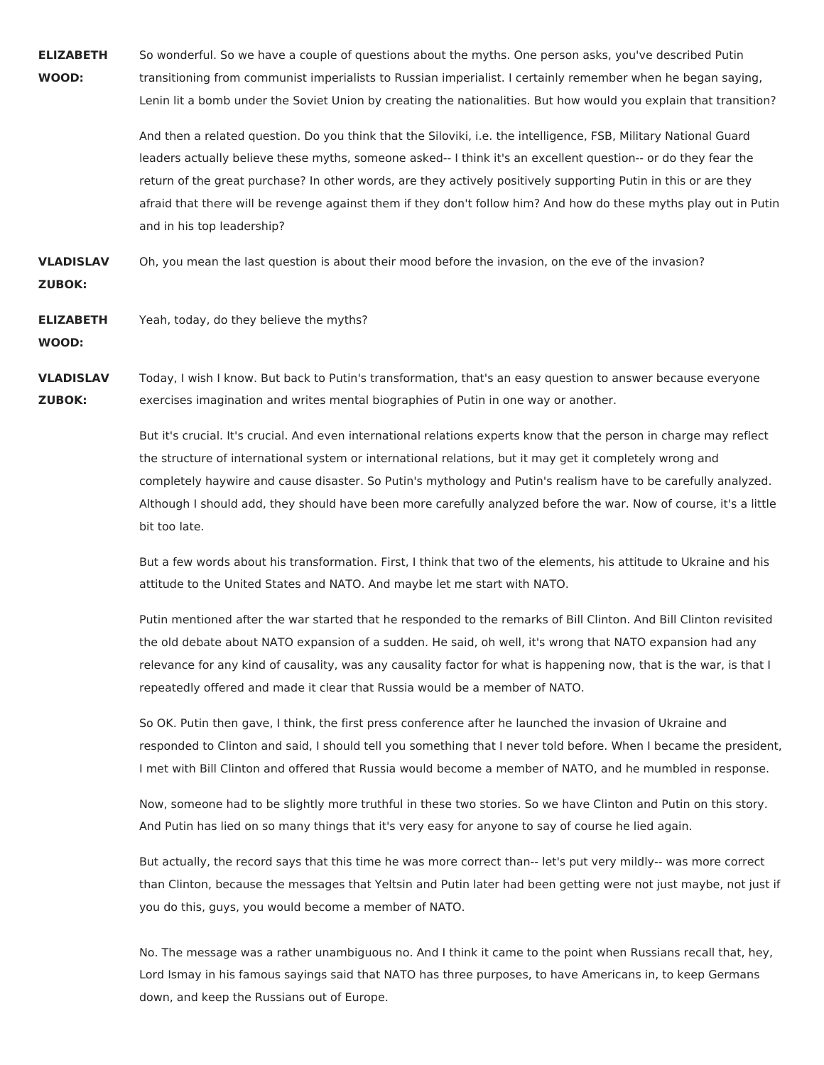**ELIZABETH WOOD:** So wonderful. So we have a couple of questions about the myths. One person asks, you've described Putin transitioning from communist imperialists to Russian imperialist. I certainly remember when he began saying, Lenin lit a bomb under the Soviet Union by creating the nationalities. But how would you explain that transition?

> And then a related question. Do you think that the Siloviki, i.e. the intelligence, FSB, Military National Guard leaders actually believe these myths, someone asked-- I think it's an excellent question-- or do they fear the return of the great purchase? In other words, are they actively positively supporting Putin in this or are they afraid that there will be revenge against them if they don't follow him? And how do these myths play out in Putin and in his top leadership?

**VLADISLAV ZUBOK:** Oh, you mean the last question is about their mood before the invasion, on the eve of the invasion?

**ELIZABETH** Yeah, today, do they believe the myths?

**WOOD:**

**VLADISLAV ZUBOK:** Today, I wish I know. But back to Putin's transformation, that's an easy question to answer because everyone exercises imagination and writes mental biographies of Putin in one way or another.

> But it's crucial. It's crucial. And even international relations experts know that the person in charge may reflect the structure of international system or international relations, but it may get it completely wrong and completely haywire and cause disaster. So Putin's mythology and Putin's realism have to be carefully analyzed. Although I should add, they should have been more carefully analyzed before the war. Now of course, it's a little bit too late.

> But a few words about his transformation. First, I think that two of the elements, his attitude to Ukraine and his attitude to the United States and NATO. And maybe let me start with NATO.

> Putin mentioned after the war started that he responded to the remarks of Bill Clinton. And Bill Clinton revisited the old debate about NATO expansion of a sudden. He said, oh well, it's wrong that NATO expansion had any relevance for any kind of causality, was any causality factor for what is happening now, that is the war, is that I repeatedly offered and made it clear that Russia would be a member of NATO.

So OK. Putin then gave, I think, the first press conference after he launched the invasion of Ukraine and responded to Clinton and said, I should tell you something that I never told before. When I became the president, I met with Bill Clinton and offered that Russia would become a member of NATO, and he mumbled in response.

Now, someone had to be slightly more truthful in these two stories. So we have Clinton and Putin on this story. And Putin has lied on so many things that it's very easy for anyone to say of course he lied again.

But actually, the record says that this time he was more correct than-- let's put very mildly-- was more correct than Clinton, because the messages that Yeltsin and Putin later had been getting were not just maybe, not just if you do this, guys, you would become a member of NATO.

No. The message was a rather unambiguous no. And I think it came to the point when Russians recall that, hey, Lord Ismay in his famous sayings said that NATO has three purposes, to have Americans in, to keep Germans down, and keep the Russians out of Europe.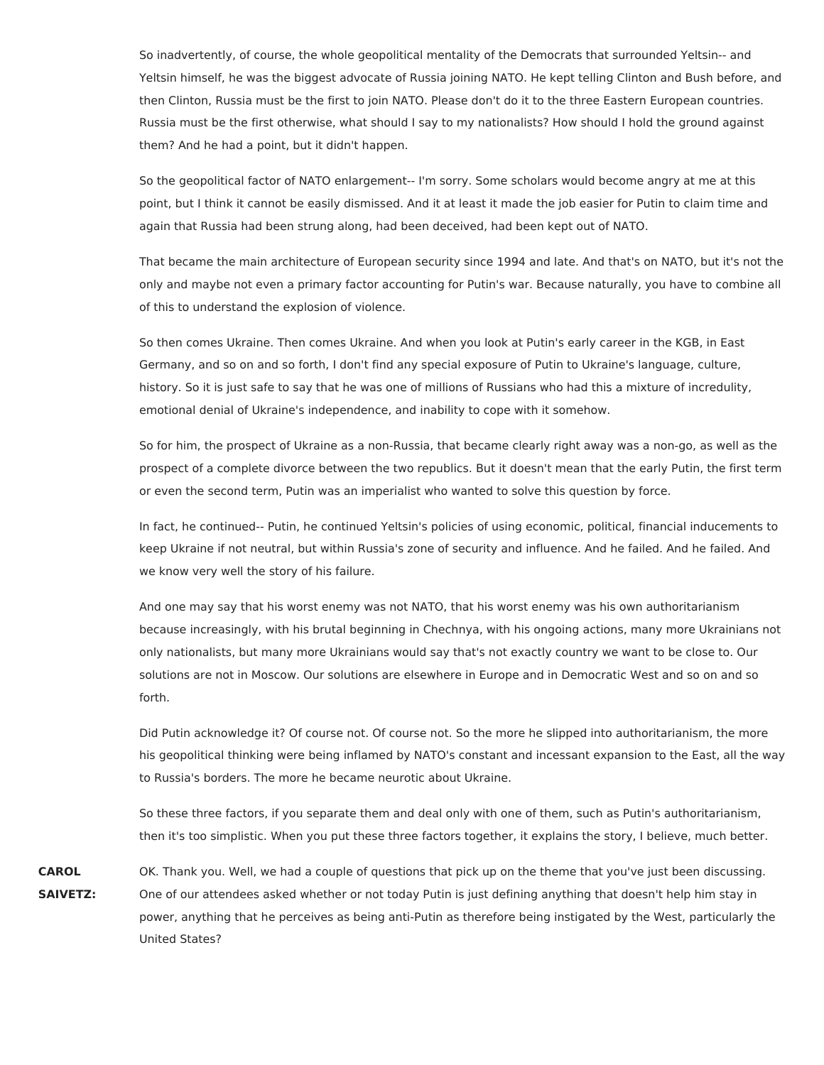So inadvertently, of course, the whole geopolitical mentality of the Democrats that surrounded Yeltsin-- and Yeltsin himself, he was the biggest advocate of Russia joining NATO. He kept telling Clinton and Bush before, and then Clinton, Russia must be the first to join NATO. Please don't do it to the three Eastern European countries. Russia must be the first otherwise, what should I say to my nationalists? How should I hold the ground against them? And he had a point, but it didn't happen.

So the geopolitical factor of NATO enlargement-- I'm sorry. Some scholars would become angry at me at this point, but I think it cannot be easily dismissed. And it at least it made the job easier for Putin to claim time and again that Russia had been strung along, had been deceived, had been kept out of NATO.

That became the main architecture of European security since 1994 and late. And that's on NATO, but it's not the only and maybe not even a primary factor accounting for Putin's war. Because naturally, you have to combine all of this to understand the explosion of violence.

So then comes Ukraine. Then comes Ukraine. And when you look at Putin's early career in the KGB, in East Germany, and so on and so forth, I don't find any special exposure of Putin to Ukraine's language, culture, history. So it is just safe to say that he was one of millions of Russians who had this a mixture of incredulity, emotional denial of Ukraine's independence, and inability to cope with it somehow.

So for him, the prospect of Ukraine as a non-Russia, that became clearly right away was a non-go, as well as the prospect of a complete divorce between the two republics. But it doesn't mean that the early Putin, the first term or even the second term, Putin was an imperialist who wanted to solve this question by force.

In fact, he continued-- Putin, he continued Yeltsin's policies of using economic, political, financial inducements to keep Ukraine if not neutral, but within Russia's zone of security and influence. And he failed. And he failed. And we know very well the story of his failure.

And one may say that his worst enemy was not NATO, that his worst enemy was his own authoritarianism because increasingly, with his brutal beginning in Chechnya, with his ongoing actions, many more Ukrainians not only nationalists, but many more Ukrainians would say that's not exactly country we want to be close to. Our solutions are not in Moscow. Our solutions are elsewhere in Europe and in Democratic West and so on and so forth.

Did Putin acknowledge it? Of course not. Of course not. So the more he slipped into authoritarianism, the more his geopolitical thinking were being inflamed by NATO's constant and incessant expansion to the East, all the way to Russia's borders. The more he became neurotic about Ukraine.

So these three factors, if you separate them and deal only with one of them, such as Putin's authoritarianism, then it's too simplistic. When you put these three factors together, it explains the story, I believe, much better.

**CAROL SAIVETZ:** OK. Thank you. Well, we had a couple of questions that pick up on the theme that you've just been discussing. One of our attendees asked whether or not today Putin is just defining anything that doesn't help him stay in power, anything that he perceives as being anti-Putin as therefore being instigated by the West, particularly the United States?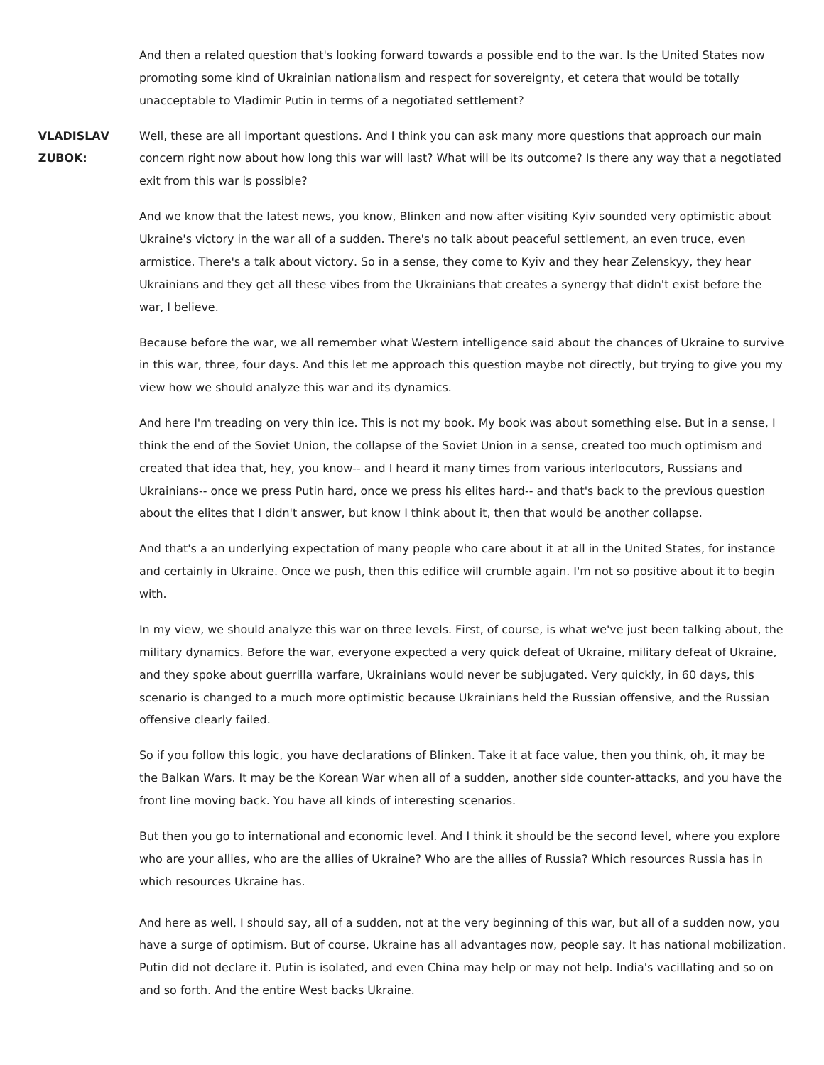And then a related question that's looking forward towards a possible end to the war. Is the United States now promoting some kind of Ukrainian nationalism and respect for sovereignty, et cetera that would be totally unacceptable to Vladimir Putin in terms of a negotiated settlement?

**VLADISLAV ZUBOK:** Well, these are all important questions. And I think you can ask many more questions that approach our main concern right now about how long this war will last? What will be its outcome? Is there any way that a negotiated exit from this war is possible?

> And we know that the latest news, you know, Blinken and now after visiting Kyiv sounded very optimistic about Ukraine's victory in the war all of a sudden. There's no talk about peaceful settlement, an even truce, even armistice. There's a talk about victory. So in a sense, they come to Kyiv and they hear Zelenskyy, they hear Ukrainians and they get all these vibes from the Ukrainians that creates a synergy that didn't exist before the war, I believe.

Because before the war, we all remember what Western intelligence said about the chances of Ukraine to survive in this war, three, four days. And this let me approach this question maybe not directly, but trying to give you my view how we should analyze this war and its dynamics.

And here I'm treading on very thin ice. This is not my book. My book was about something else. But in a sense, I think the end of the Soviet Union, the collapse of the Soviet Union in a sense, created too much optimism and created that idea that, hey, you know-- and I heard it many times from various interlocutors, Russians and Ukrainians-- once we press Putin hard, once we press his elites hard-- and that's back to the previous question about the elites that I didn't answer, but know I think about it, then that would be another collapse.

And that's a an underlying expectation of many people who care about it at all in the United States, for instance and certainly in Ukraine. Once we push, then this edifice will crumble again. I'm not so positive about it to begin with.

In my view, we should analyze this war on three levels. First, of course, is what we've just been talking about, the military dynamics. Before the war, everyone expected a very quick defeat of Ukraine, military defeat of Ukraine, and they spoke about guerrilla warfare, Ukrainians would never be subjugated. Very quickly, in 60 days, this scenario is changed to a much more optimistic because Ukrainians held the Russian offensive, and the Russian offensive clearly failed.

So if you follow this logic, you have declarations of Blinken. Take it at face value, then you think, oh, it may be the Balkan Wars. It may be the Korean War when all of a sudden, another side counter-attacks, and you have the front line moving back. You have all kinds of interesting scenarios.

But then you go to international and economic level. And I think it should be the second level, where you explore who are your allies, who are the allies of Ukraine? Who are the allies of Russia? Which resources Russia has in which resources Ukraine has.

And here as well, I should say, all of a sudden, not at the very beginning of this war, but all of a sudden now, you have a surge of optimism. But of course, Ukraine has all advantages now, people say. It has national mobilization. Putin did not declare it. Putin is isolated, and even China may help or may not help. India's vacillating and so on and so forth. And the entire West backs Ukraine.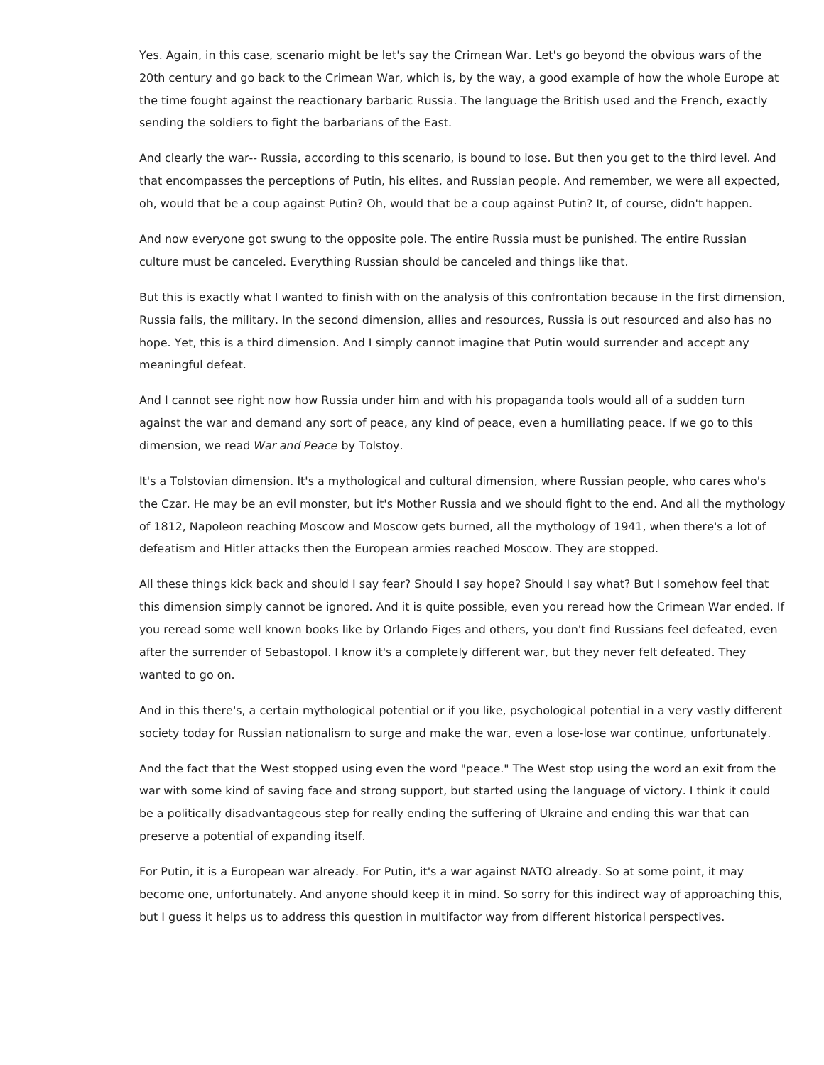Yes. Again, in this case, scenario might be let's say the Crimean War. Let's go beyond the obvious wars of the 20th century and go back to the Crimean War, which is, by the way, a good example of how the whole Europe at the time fought against the reactionary barbaric Russia. The language the British used and the French, exactly sending the soldiers to fight the barbarians of the East.

And clearly the war-- Russia, according to this scenario, is bound to lose. But then you get to the third level. And that encompasses the perceptions of Putin, his elites, and Russian people. And remember, we were all expected, oh, would that be a coup against Putin? Oh, would that be a coup against Putin? It, of course, didn't happen.

And now everyone got swung to the opposite pole. The entire Russia must be punished. The entire Russian culture must be canceled. Everything Russian should be canceled and things like that.

But this is exactly what I wanted to finish with on the analysis of this confrontation because in the first dimension, Russia fails, the military. In the second dimension, allies and resources, Russia is out resourced and also has no hope. Yet, this is a third dimension. And I simply cannot imagine that Putin would surrender and accept any meaningful defeat.

And I cannot see right now how Russia under him and with his propaganda tools would all of a sudden turn against the war and demand any sort of peace, any kind of peace, even a humiliating peace. If we go to this dimension, we read War and Peace by Tolstoy.

It's a Tolstovian dimension. It's a mythological and cultural dimension, where Russian people, who cares who's the Czar. He may be an evil monster, but it's Mother Russia and we should fight to the end. And all the mythology of 1812, Napoleon reaching Moscow and Moscow gets burned, all the mythology of 1941, when there's a lot of defeatism and Hitler attacks then the European armies reached Moscow. They are stopped.

All these things kick back and should I say fear? Should I say hope? Should I say what? But I somehow feel that this dimension simply cannot be ignored. And it is quite possible, even you reread how the Crimean War ended. If you reread some well known books like by Orlando Figes and others, you don't find Russians feel defeated, even after the surrender of Sebastopol. I know it's a completely different war, but they never felt defeated. They wanted to go on.

And in this there's, a certain mythological potential or if you like, psychological potential in a very vastly different society today for Russian nationalism to surge and make the war, even a lose-lose war continue, unfortunately.

And the fact that the West stopped using even the word "peace." The West stop using the word an exit from the war with some kind of saving face and strong support, but started using the language of victory. I think it could be a politically disadvantageous step for really ending the suffering of Ukraine and ending this war that can preserve a potential of expanding itself.

For Putin, it is a European war already. For Putin, it's a war against NATO already. So at some point, it may become one, unfortunately. And anyone should keep it in mind. So sorry for this indirect way of approaching this, but I guess it helps us to address this question in multifactor way from different historical perspectives.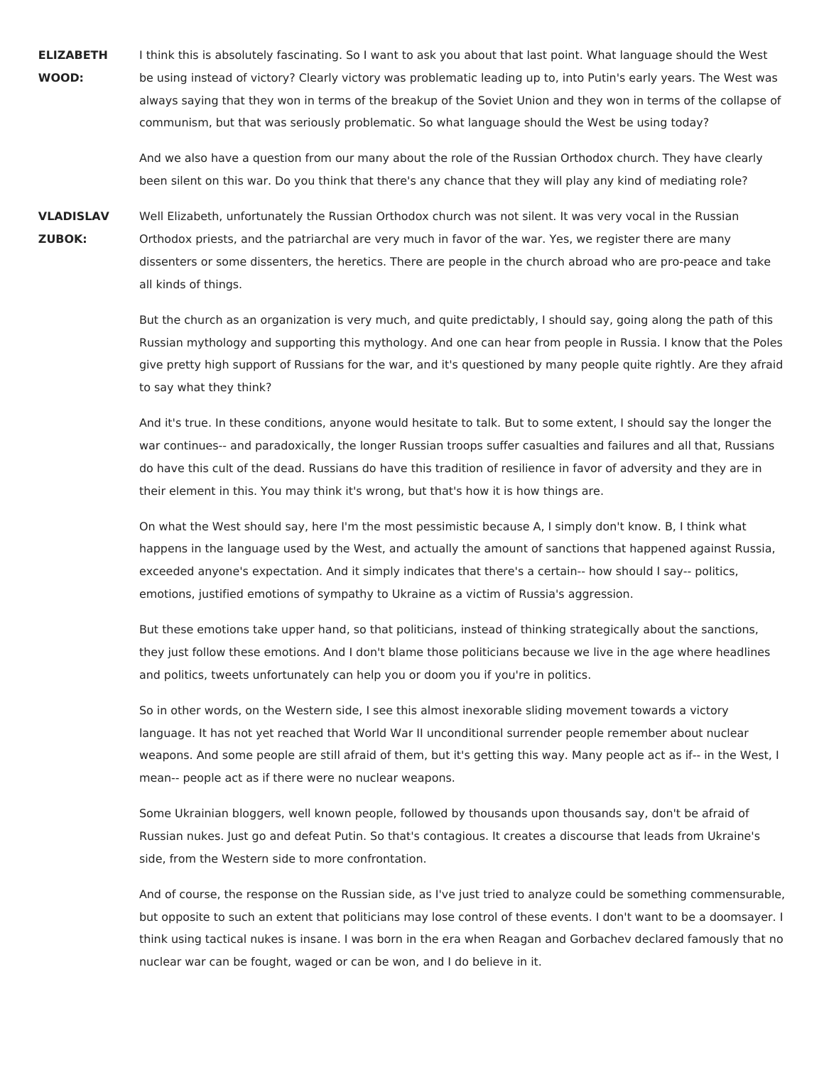**ELIZABETH WOOD:** I think this is absolutely fascinating. So I want to ask you about that last point. What language should the West be using instead of victory? Clearly victory was problematic leading up to, into Putin's early years. The West was always saying that they won in terms of the breakup of the Soviet Union and they won in terms of the collapse of communism, but that was seriously problematic. So what language should the West be using today?

> And we also have a question from our many about the role of the Russian Orthodox church. They have clearly been silent on this war. Do you think that there's any chance that they will play any kind of mediating role?

**VLADISLAV ZUBOK:** Well Elizabeth, unfortunately the Russian Orthodox church was not silent. It was very vocal in the Russian Orthodox priests, and the patriarchal are very much in favor of the war. Yes, we register there are many dissenters or some dissenters, the heretics. There are people in the church abroad who are pro-peace and take all kinds of things.

> But the church as an organization is very much, and quite predictably, I should say, going along the path of this Russian mythology and supporting this mythology. And one can hear from people in Russia. I know that the Poles give pretty high support of Russians for the war, and it's questioned by many people quite rightly. Are they afraid to say what they think?

And it's true. In these conditions, anyone would hesitate to talk. But to some extent, I should say the longer the war continues-- and paradoxically, the longer Russian troops suffer casualties and failures and all that, Russians do have this cult of the dead. Russians do have this tradition of resilience in favor of adversity and they are in their element in this. You may think it's wrong, but that's how it is how things are.

On what the West should say, here I'm the most pessimistic because A, I simply don't know. B, I think what happens in the language used by the West, and actually the amount of sanctions that happened against Russia, exceeded anyone's expectation. And it simply indicates that there's a certain-- how should I say-- politics, emotions, justified emotions of sympathy to Ukraine as a victim of Russia's aggression.

But these emotions take upper hand, so that politicians, instead of thinking strategically about the sanctions, they just follow these emotions. And I don't blame those politicians because we live in the age where headlines and politics, tweets unfortunately can help you or doom you if you're in politics.

So in other words, on the Western side, I see this almost inexorable sliding movement towards a victory language. It has not yet reached that World War II unconditional surrender people remember about nuclear weapons. And some people are still afraid of them, but it's getting this way. Many people act as if-- in the West, I mean-- people act as if there were no nuclear weapons.

Some Ukrainian bloggers, well known people, followed by thousands upon thousands say, don't be afraid of Russian nukes. Just go and defeat Putin. So that's contagious. It creates a discourse that leads from Ukraine's side, from the Western side to more confrontation.

And of course, the response on the Russian side, as I've just tried to analyze could be something commensurable, but opposite to such an extent that politicians may lose control of these events. I don't want to be a doomsayer. I think using tactical nukes is insane. I was born in the era when Reagan and Gorbachev declared famously that no nuclear war can be fought, waged or can be won, and I do believe in it.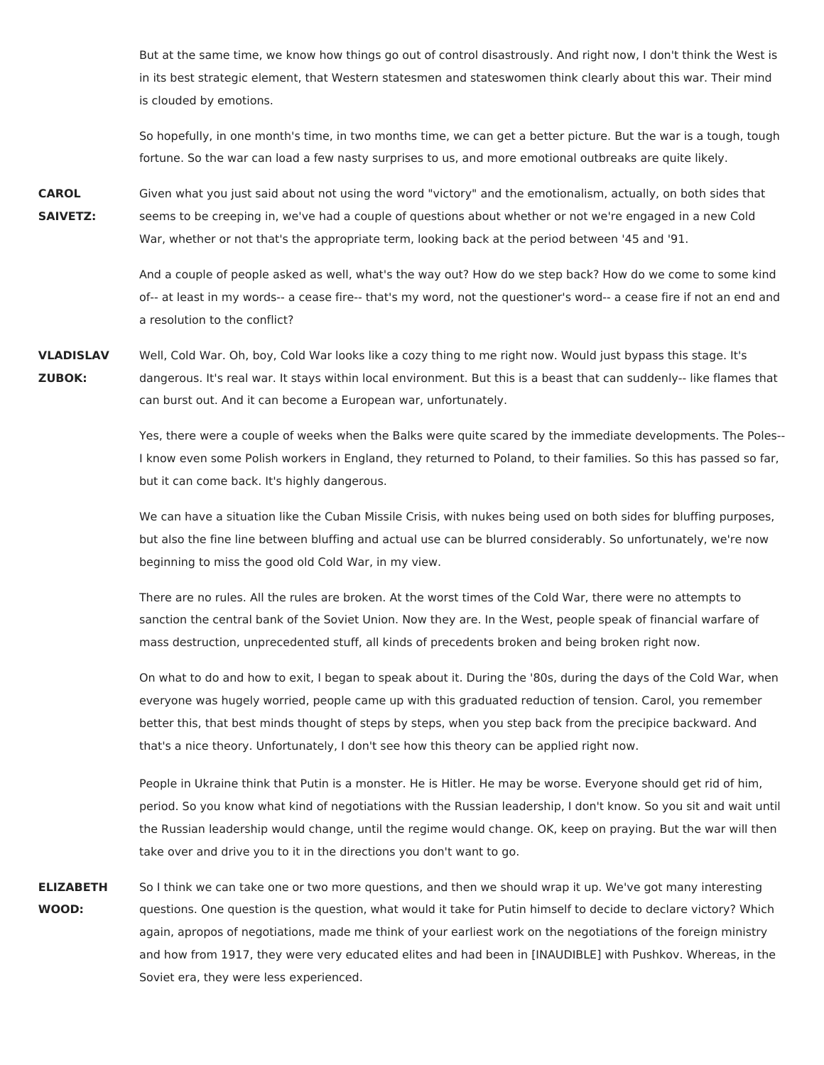But at the same time, we know how things go out of control disastrously. And right now, I don't think the West is in its best strategic element, that Western statesmen and stateswomen think clearly about this war. Their mind is clouded by emotions.

So hopefully, in one month's time, in two months time, we can get a better picture. But the war is a tough, tough fortune. So the war can load a few nasty surprises to us, and more emotional outbreaks are quite likely.

**CAROL SAIVETZ:** Given what you just said about not using the word "victory" and the emotionalism, actually, on both sides that seems to be creeping in, we've had a couple of questions about whether or not we're engaged in a new Cold War, whether or not that's the appropriate term, looking back at the period between '45 and '91.

> And a couple of people asked as well, what's the way out? How do we step back? How do we come to some kind of-- at least in my words-- a cease fire-- that's my word, not the questioner's word-- a cease fire if not an end and a resolution to the conflict?

**VLADISLAV ZUBOK:** Well, Cold War. Oh, boy, Cold War looks like a cozy thing to me right now. Would just bypass this stage. It's dangerous. It's real war. It stays within local environment. But this is a beast that can suddenly-- like flames that can burst out. And it can become a European war, unfortunately.

> Yes, there were a couple of weeks when the Balks were quite scared by the immediate developments. The Poles-- I know even some Polish workers in England, they returned to Poland, to their families. So this has passed so far, but it can come back. It's highly dangerous.

We can have a situation like the Cuban Missile Crisis, with nukes being used on both sides for bluffing purposes, but also the fine line between bluffing and actual use can be blurred considerably. So unfortunately, we're now beginning to miss the good old Cold War, in my view.

There are no rules. All the rules are broken. At the worst times of the Cold War, there were no attempts to sanction the central bank of the Soviet Union. Now they are. In the West, people speak of financial warfare of mass destruction, unprecedented stuff, all kinds of precedents broken and being broken right now.

On what to do and how to exit, I began to speak about it. During the '80s, during the days of the Cold War, when everyone was hugely worried, people came up with this graduated reduction of tension. Carol, you remember better this, that best minds thought of steps by steps, when you step back from the precipice backward. And that's a nice theory. Unfortunately, I don't see how this theory can be applied right now.

People in Ukraine think that Putin is a monster. He is Hitler. He may be worse. Everyone should get rid of him, period. So you know what kind of negotiations with the Russian leadership, I don't know. So you sit and wait until the Russian leadership would change, until the regime would change. OK, keep on praying. But the war will then take over and drive you to it in the directions you don't want to go.

**ELIZABETH WOOD:** So I think we can take one or two more questions, and then we should wrap it up. We've got many interesting questions. One question is the question, what would it take for Putin himself to decide to declare victory? Which again, apropos of negotiations, made me think of your earliest work on the negotiations of the foreign ministry and how from 1917, they were very educated elites and had been in [INAUDIBLE] with Pushkov. Whereas, in the Soviet era, they were less experienced.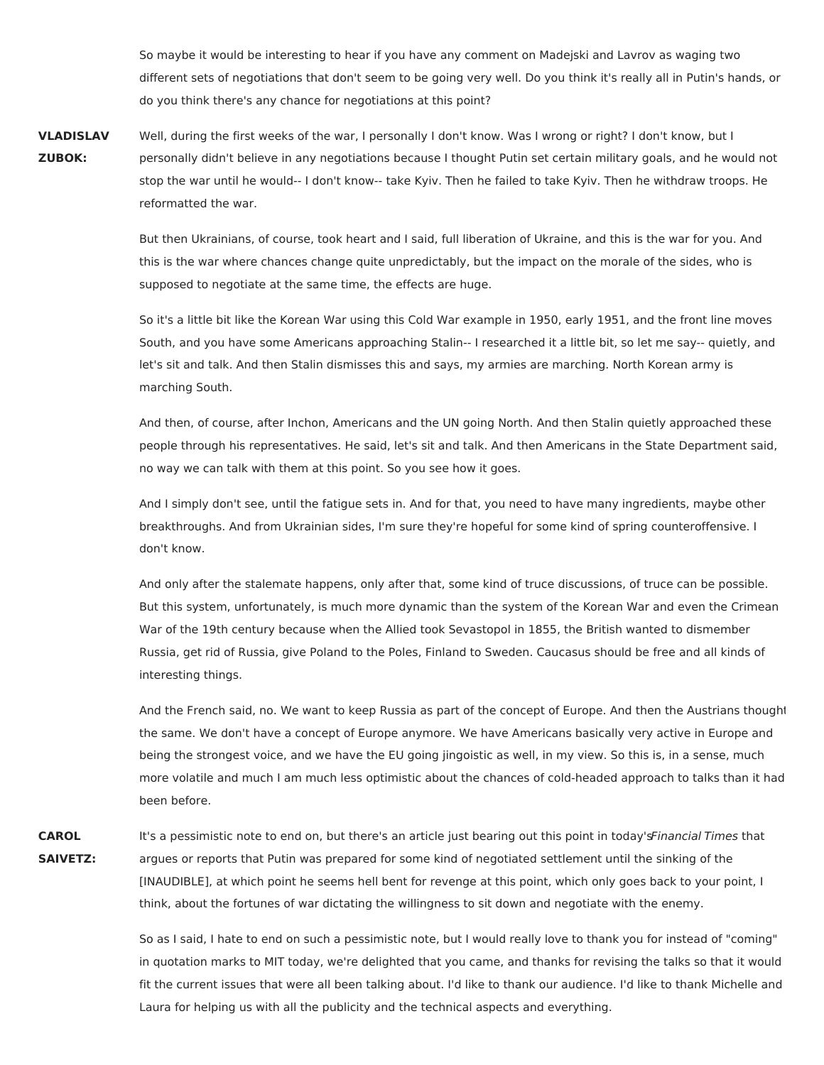So maybe it would be interesting to hear if you have any comment on Madejski and Lavrov as waging two different sets of negotiations that don't seem to be going very well. Do you think it's really all in Putin's hands, or do you think there's any chance for negotiations at this point?

**VLADISLAV ZUBOK:** Well, during the first weeks of the war, I personally I don't know. Was I wrong or right? I don't know, but I personally didn't believe in any negotiations because I thought Putin set certain military goals, and he would not stop the war until he would-- I don't know-- take Kyiv. Then he failed to take Kyiv. Then he withdraw troops. He reformatted the war.

> But then Ukrainians, of course, took heart and I said, full liberation of Ukraine, and this is the war for you. And this is the war where chances change quite unpredictably, but the impact on the morale of the sides, who is supposed to negotiate at the same time, the effects are huge.

So it's a little bit like the Korean War using this Cold War example in 1950, early 1951, and the front line moves South, and you have some Americans approaching Stalin-- I researched it a little bit, so let me say-- quietly, and let's sit and talk. And then Stalin dismisses this and says, my armies are marching. North Korean army is marching South.

And then, of course, after Inchon, Americans and the UN going North. And then Stalin quietly approached these people through his representatives. He said, let's sit and talk. And then Americans in the State Department said, no way we can talk with them at this point. So you see how it goes.

And I simply don't see, until the fatigue sets in. And for that, you need to have many ingredients, maybe other breakthroughs. And from Ukrainian sides, I'm sure they're hopeful for some kind of spring counteroffensive. I don't know.

And only after the stalemate happens, only after that, some kind of truce discussions, of truce can be possible. But this system, unfortunately, is much more dynamic than the system of the Korean War and even the Crimean War of the 19th century because when the Allied took Sevastopol in 1855, the British wanted to dismember Russia, get rid of Russia, give Poland to the Poles, Finland to Sweden. Caucasus should be free and all kinds of interesting things.

And the French said, no. We want to keep Russia as part of the concept of Europe. And then the Austrians thought the same. We don't have a concept of Europe anymore. We have Americans basically very active in Europe and being the strongest voice, and we have the EU going jingoistic as well, in my view. So this is, in a sense, much more volatile and much I am much less optimistic about the chances of cold-headed approach to talks than it had been before.

**CAROL SAIVETZ:** It's a pessimistic note to end on, but there's an article just bearing out this point in today'sFinancial Times that argues or reports that Putin was prepared for some kind of negotiated settlement until the sinking of the [INAUDIBLE], at which point he seems hell bent for revenge at this point, which only goes back to your point, I think, about the fortunes of war dictating the willingness to sit down and negotiate with the enemy.

> So as I said, I hate to end on such a pessimistic note, but I would really love to thank you for instead of "coming" in quotation marks to MIT today, we're delighted that you came, and thanks for revising the talks so that it would fit the current issues that were all been talking about. I'd like to thank our audience. I'd like to thank Michelle and Laura for helping us with all the publicity and the technical aspects and everything.